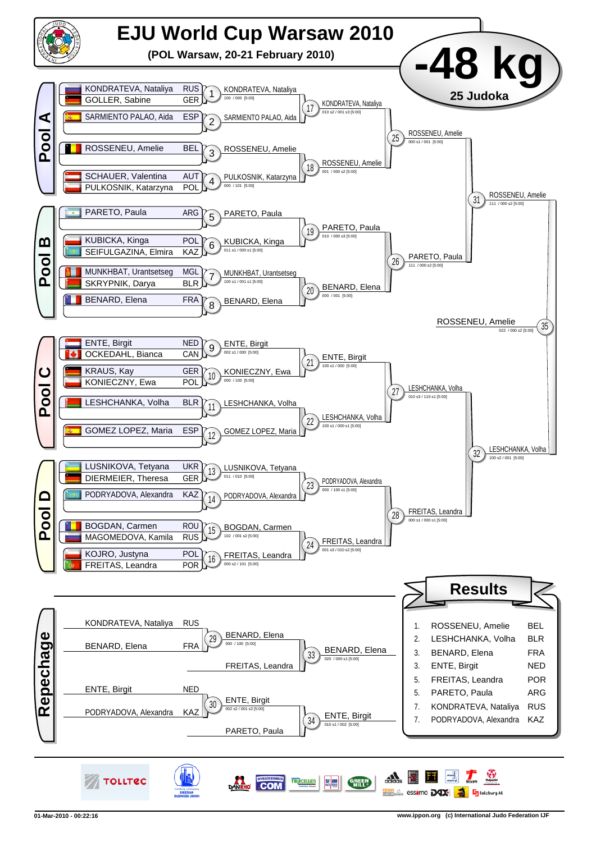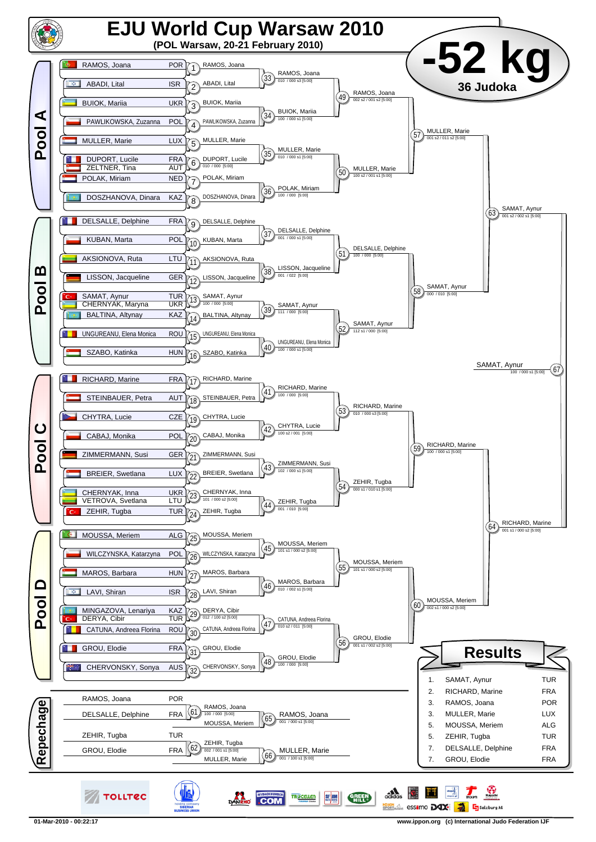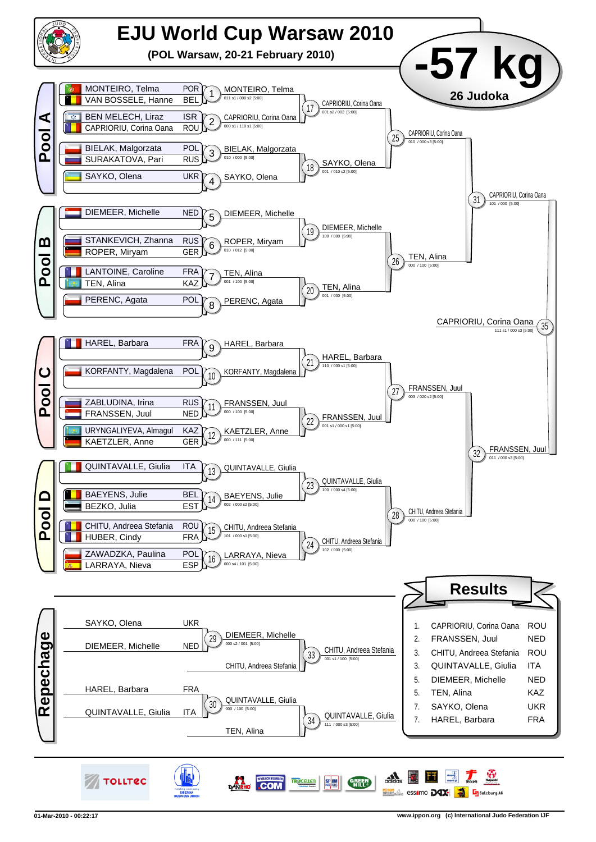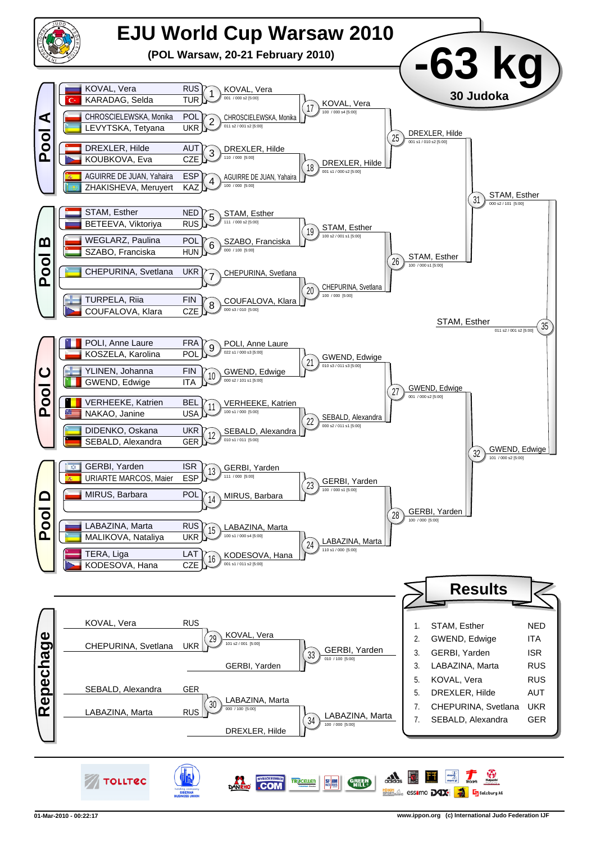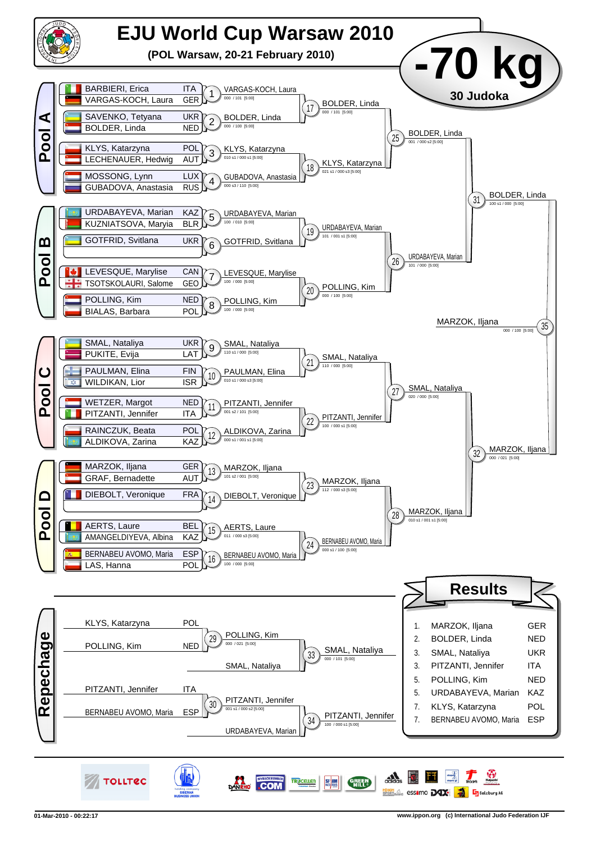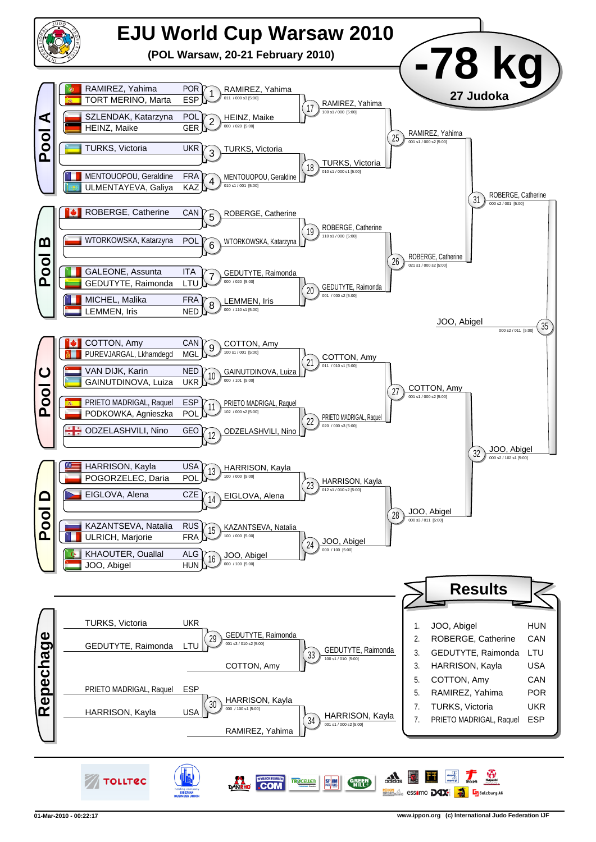